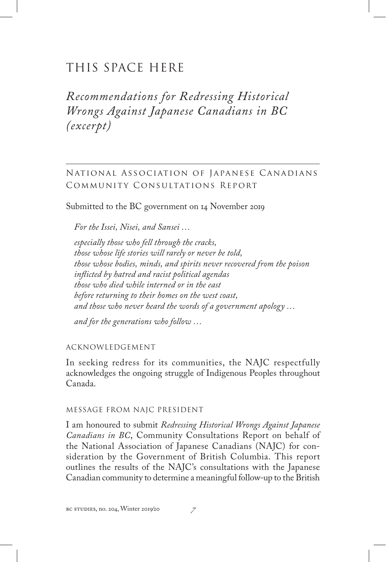# THIS SPACE HERE

*Recommendations for Redressing Historical Wrongs Against Japanese Canadians in BC (excerpt)*

National Association of Japanese Canadians Community Consultations Report

Submitted to the BC government on 14 November 2019

*For the Issei, Nisei, and Sansei …*

*especially those who fell through the cracks, those whose life stories will rarely or never be told, those whose bodies, minds, and spirits never recovered from the poison inflicted by hatred and racist political agendas those who died while interned or in the east before returning to their homes on the west coast, and those who never heard the words of a government apology …*

*and for the generations who follow …*

Acknowledgement

In seeking redress for its communities, the NAJC respectfully acknowledges the ongoing struggle of Indigenous Peoples throughout Canada.

### Message from NAJC President

I am honoured to submit *Redressing Historical Wrongs Against Japanese Canadians in BC*, Community Consultations Report on behalf of the National Association of Japanese Canadians (NAJC) for consideration by the Government of British Columbia. This report outlines the results of the NAJC's consultations with the Japanese Canadian community to determine a meaningful follow-up to the British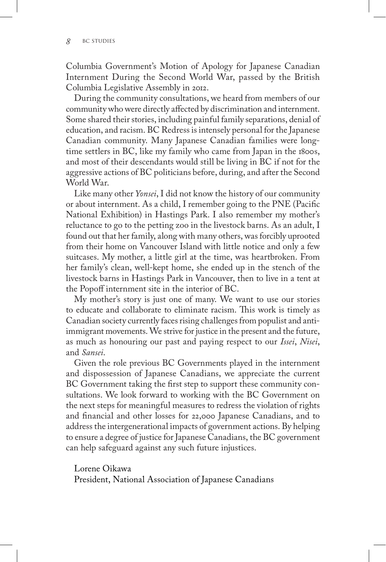Columbia Government's Motion of Apology for Japanese Canadian Internment During the Second World War, passed by the British Columbia Legislative Assembly in 2012.

During the community consultations, we heard from members of our community who were directly affected by discrimination and internment. Some shared their stories, including painful family separations, denial of education, and racism. BC Redress is intensely personal for the Japanese Canadian community. Many Japanese Canadian families were longtime settlers in BC, like my family who came from Japan in the 1800s, and most of their descendants would still be living in BC if not for the aggressive actions of BC politicians before, during, and after the Second World War.

Like many other *Yonsei*, I did not know the history of our community or about internment. As a child, I remember going to the PNE (Pacific National Exhibition) in Hastings Park. I also remember my mother's reluctance to go to the petting zoo in the livestock barns. As an adult, I found out that her family, along with many others, was forcibly uprooted from their home on Vancouver Island with little notice and only a few suitcases. My mother, a little girl at the time, was heartbroken. From her family's clean, well-kept home, she ended up in the stench of the livestock barns in Hastings Park in Vancouver, then to live in a tent at the Popoff internment site in the interior of BC.

My mother's story is just one of many. We want to use our stories to educate and collaborate to eliminate racism. This work is timely as Canadian society currently faces rising challenges from populist and antiimmigrant movements. We strive for justice in the present and the future, as much as honouring our past and paying respect to our *Issei*, *Nisei*, and *Sansei*.

Given the role previous BC Governments played in the internment and dispossession of Japanese Canadians, we appreciate the current BC Government taking the first step to support these community consultations. We look forward to working with the BC Government on the next steps for meaningful measures to redress the violation of rights and financial and other losses for 22,000 Japanese Canadians, and to address the intergenerational impacts of government actions. By helping to ensure a degree of justice for Japanese Canadians, the BC government can help safeguard against any such future injustices.

Lorene Oikawa President, National Association of Japanese Canadians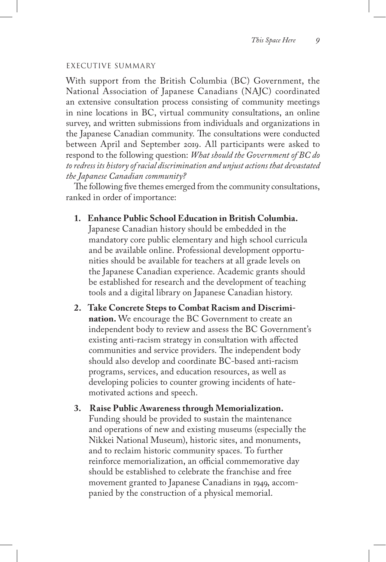#### Executive summary

With support from the British Columbia (BC) Government, the National Association of Japanese Canadians (NAJC) coordinated an extensive consultation process consisting of community meetings in nine locations in BC, virtual community consultations, an online survey, and written submissions from individuals and organizations in the Japanese Canadian community. The consultations were conducted between April and September 2019. All participants were asked to respond to the following question: *What should the Government of BC do to redress its history of racial discrimination and unjust actions that devastated the Japanese Canadian community?*

The following five themes emerged from the community consultations, ranked in order of importance:

**1. Enhance Public School Education in British Columbia.**

Japanese Canadian history should be embedded in the mandatory core public elementary and high school curricula and be available online. Professional development opportunities should be available for teachers at all grade levels on the Japanese Canadian experience. Academic grants should be established for research and the development of teaching tools and a digital library on Japanese Canadian history.

**2. Take Concrete Steps to Combat Racism and Discrimination.** We encourage the BC Government to create an independent body to review and assess the BC Government's existing anti-racism strategy in consultation with affected communities and service providers. The independent body should also develop and coordinate BC-based anti-racism programs, services, and education resources, as well as developing policies to counter growing incidents of hatemotivated actions and speech.

## **3. Raise Public Awareness through Memorialization.** Funding should be provided to sustain the maintenance and operations of new and existing museums (especially the Nikkei National Museum), historic sites, and monuments, and to reclaim historic community spaces. To further reinforce memorialization, an official commemorative day should be established to celebrate the franchise and free movement granted to Japanese Canadians in 1949, accompanied by the construction of a physical memorial.